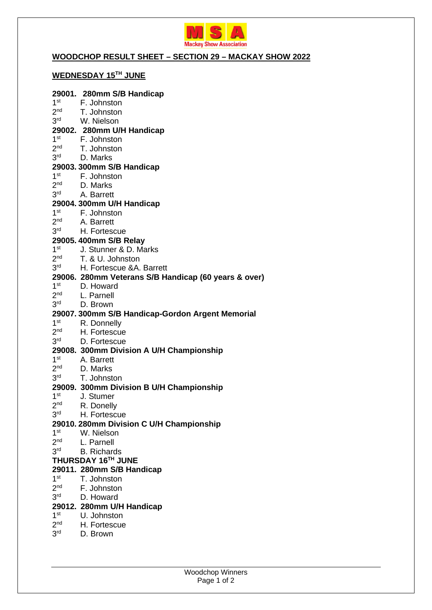

## **WOODCHOP RESULT SHEET – SECTION 29 – MACKAY SHOW 2022**

# **WEDNESDAY 15TH JUNE**

## **29001. 280mm S/B Handicap**

- $1<sup>st</sup>$ F. Johnston  $2<sup>nd</sup>$ T. Johnston
- $3<sup>rd</sup>$ W. Nielson

#### **29002. 280mm U/H Handicap**

- $1<sup>st</sup>$ F. Johnston
- $2<sup>nd</sup>$ T. Johnston
- 3rd D. Marks

### **29003. 300mm S/B Handicap**

- $1<sup>st</sup>$ F. Johnston
- $2<sub>nd</sub>$ D. Marks
- $3<sup>rd</sup>$ A. Barrett

#### **29004. 300mm U/H Handicap**

- $1<sup>st</sup>$ F. Johnston
- $2<sup>nd</sup>$ A. Barrett
- $3<sup>rd</sup>$ H. Fortescue

## **29005. 400mm S/B Relay**

- $1<sup>st</sup>$ J. Stunner & D. Marks
- $2<sub>nd</sub>$ T. & U. Johnston
- 3<sup>rd</sup> H. Fortescue &A. Barrett

#### **29006. 280mm Veterans S/B Handicap (60 years & over)**

- $1<sup>st</sup>$ D. Howard
- $2<sub>nd</sub>$ L. Parnell
- $3<sup>rd</sup>$ D. Brown

#### **29007. 300mm S/B Handicap-Gordon Argent Memorial**

- $1<sup>st</sup>$ R. Donnelly
- $2<sub>nd</sub>$ H. Fortescue
- $3<sup>rd</sup>$ D. Fortescue

## **29008. 300mm Division A U/H Championship**

- $1<sup>st</sup>$ A. Barrett
- $2<sup>nd</sup>$ D. Marks
- 3<sup>rd</sup> T. Johnston

#### **29009. 300mm Division B U/H Championship**

- $1<sup>st</sup>$ J. Stumer
- $2<sup>nd</sup>$ R. Donelly
- 3<sup>rd</sup> H. Fortescue

#### **29010. 280mm Division C U/H Championship**

- $1<sup>st</sup>$ W. Nielson
- $2<sub>nd</sub>$ L. Parnell
- $3<sup>rd</sup>$ **B. Richards**
- **THURSDAY 16TH JUNE**

#### **29011. 280mm S/B Handicap**

- $1<sup>st</sup>$ T. Johnston
- $2<sup>nd</sup>$ F. Johnston
- $3<sup>rd</sup>$ D. Howard

### **29012. 280mm U/H Handicap**

- $1<sup>st</sup>$ U. Johnston
- $2<sup>nd</sup>$ H. Fortescue
- $3<sup>rd</sup>$ D. Brown